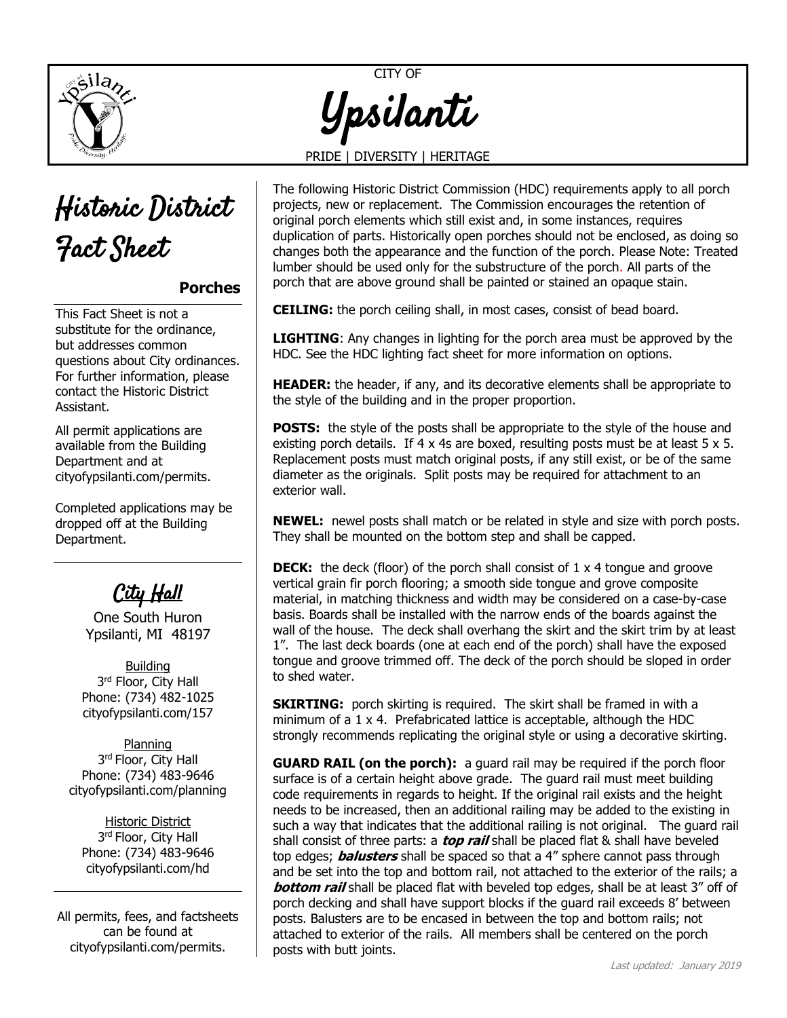



## **Porches**

This Fact Sheet is not a substitute for the ordinance, but addresses common questions about City ordinances. For further information, please contact the Historic District Assistant.

All permit applications are available from the Building Department and at [cityofypsilanti.com/permits.](http://www.cityofypsilanti.com/permits)

Completed applications may be dropped off at the Building Department.

## City Hall

One South Huron Ypsilanti, MI 48197

**Building** 3<sup>rd</sup> Floor, City Hall Phone: (734) 482-1025 cityofypsilanti.com/157

Planning 3<sup>rd</sup> Floor, City Hall Phone: (734) 483-9646 [cityofypsilanti.com/planning](http://www.cityofypsilanti.com/planning)

Historic District 3<sup>rd</sup> Floor, City Hall Phone: (734) 483-9646 [cityofypsilanti.com/hd](http://www.cityofypsilanti.com/hdc)

All permits, fees, and factsheets can be found at [cityofypsilanti.com/permits.](http://www.cityofypsilanti.com/permits)

CITY OF Ypsilanti

## PRIDE | DIVERSITY | HERITAGE

The following Historic District Commission (HDC) requirements apply to all porch projects, new or replacement. The Commission encourages the retention of original porch elements which still exist and, in some instances, requires duplication of parts. Historically open porches should not be enclosed, as doing so changes both the appearance and the function of the porch. Please Note: Treated lumber should be used only for the substructure of the porch. All parts of the porch that are above ground shall be painted or stained an opaque stain.

**CEILING:** the porch ceiling shall, in most cases, consist of bead board.

**LIGHTING**: Any changes in lighting for the porch area must be approved by the HDC. See the HDC lighting fact sheet for more information on options.

**HEADER:** the header, if any, and its decorative elements shall be appropriate to the style of the building and in the proper proportion.

**POSTS:** the style of the posts shall be appropriate to the style of the house and existing porch details. If 4 x 4s are boxed, resulting posts must be at least 5  $\times$  5. Replacement posts must match original posts, if any still exist, or be of the same diameter as the originals. Split posts may be required for attachment to an exterior wall.

**NEWEL:** newel posts shall match or be related in style and size with porch posts. They shall be mounted on the bottom step and shall be capped.

**DECK:** the deck (floor) of the porch shall consist of 1 x 4 tongue and groove vertical grain fir porch flooring; a smooth side tongue and grove composite material, in matching thickness and width may be considered on a case-by-case basis. Boards shall be installed with the narrow ends of the boards against the wall of the house. The deck shall overhang the skirt and the skirt trim by at least 1". The last deck boards (one at each end of the porch) shall have the exposed tongue and groove trimmed off. The deck of the porch should be sloped in order to shed water.

**SKIRTING:** porch skirting is required. The skirt shall be framed in with a minimum of a 1 x 4. Prefabricated lattice is acceptable, although the HDC strongly recommends replicating the original style or using a decorative skirting.

**GUARD RAIL (on the porch):** a guard rail may be required if the porch floor surface is of a certain height above grade. The guard rail must meet building code requirements in regards to height. If the original rail exists and the height needs to be increased, then an additional railing may be added to the existing in such a way that indicates that the additional railing is not original. The guard rail shall consist of three parts: a **top rail** shall be placed flat & shall have beveled top edges; **balusters** shall be spaced so that a 4" sphere cannot pass through and be set into the top and bottom rail, not attached to the exterior of the rails; a **bottom rail** shall be placed flat with beveled top edges, shall be at least 3" off of porch decking and shall have support blocks if the guard rail exceeds 8' between posts. Balusters are to be encased in between the top and bottom rails; not attached to exterior of the rails. All members shall be centered on the porch posts with butt joints.